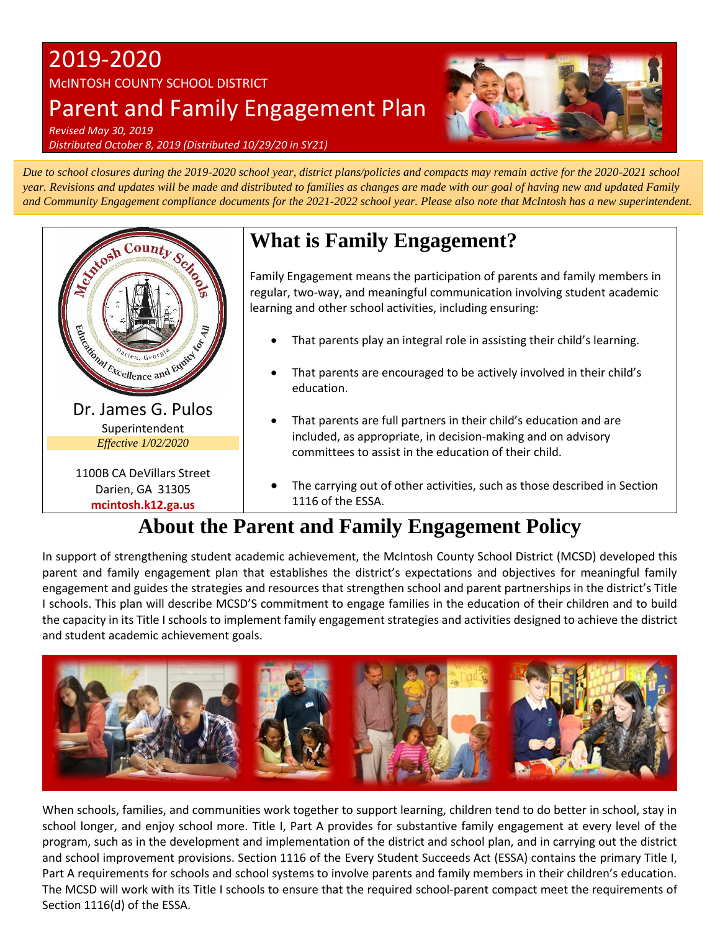# 2019-2020 McINTOSH COUNTY SCHOOL DISTRICT Parent and Family Engagement Plan



*Revised May 30, 2019 Distributed October 8, 2019 (Distributed 10/29/20 in SY21)*

*Due to school closures during the 2019-2020 school year, district plans/policies and compacts may remain active for the 2020-2021 school year. Revisions and updates will be made and distributed to families as changes are made with our goal of having new and updated Family and Community Engagement compliance documents for the 2021-2022 school year. Please also note that McIntosh has a new superintendent.* 



# **What is Family Engagement?**

Family Engagement means the participation of parents and family members in regular, two-way, and meaningful communication involving student academic learning and other school activities, including ensuring:

- That parents play an integral role in assisting their child's learning.
- That parents are encouraged to be actively involved in their child's education.
- That parents are full partners in their child's education and are included, as appropriate, in decision-making and on advisory committees to assist in the education of their child.
- The carrying out of other activities, such as those described in Section 1116 of the ESSA.

# **About the Parent and Family Engagement Policy**

In support of strengthening student academic achievement, the McIntosh County School District (MCSD) developed this parent and family engagement plan that establishes the district's expectations and objectives for meaningful family engagement and guides the strategies and resources that strengthen school and parent partnerships in the district's Title I schools. This plan will describe MCSD'S commitment to engage families in the education of their children and to build the capacity in its Title I schools to implement family engagement strategies and activities designed to achieve the district and student academic achievement goals.



When schools, families, and communities work together to support learning, children tend to do better in school, stay in school longer, and enjoy school more. Title I, Part A provides for substantive family engagement at every level of the program, such as in the development and implementation of the district and school plan, and in carrying out the district and school improvement provisions. Section 1116 of the Every Student Succeeds Act (ESSA) contains the primary Title I, Part A requirements for schools and school systems to involve parents and family members in their children's education. The MCSD will work with its Title I schools to ensure that the required school-parent compact meet the requirements of Section 1116(d) of the ESSA.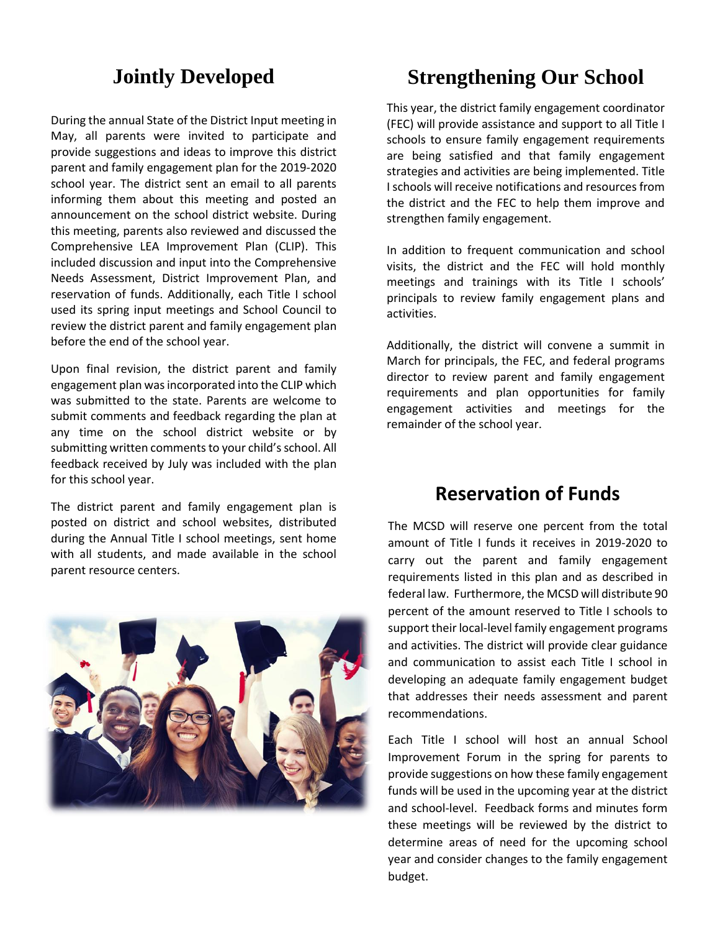## **Jointly Developed**

During the annual State of the District Input meeting in May, all parents were invited to participate and provide suggestions and ideas to improve this district parent and family engagement plan for the 2019-2020 school year. The district sent an email to all parents informing them about this meeting and posted an announcement on the school district website. During this meeting, parents also reviewed and discussed the Comprehensive LEA Improvement Plan (CLIP). This included discussion and input into the Comprehensive Needs Assessment, District Improvement Plan, and reservation of funds. Additionally, each Title I school used its spring input meetings and School Council to review the district parent and family engagement plan before the end of the school year.

Upon final revision, the district parent and family engagement plan was incorporated into the CLIP which was submitted to the state. Parents are welcome to submit comments and feedback regarding the plan at any time on the school district website or by submitting written comments to your child's school. All feedback received by July was included with the plan for this school year.

The district parent and family engagement plan is posted on district and school websites, distributed during the Annual Title I school meetings, sent home with all students, and made available in the school parent resource centers.



## **Strengthening Our School**

This year, the district family engagement coordinator (FEC) will provide assistance and support to all Title I schools to ensure family engagement requirements are being satisfied and that family engagement strategies and activities are being implemented. Title I schools will receive notifications and resources from the district and the FEC to help them improve and strengthen family engagement.

In addition to frequent communication and school visits, the district and the FEC will hold monthly meetings and trainings with its Title I schools' principals to review family engagement plans and activities.

Additionally, the district will convene a summit in March for principals, the FEC, and federal programs director to review parent and family engagement requirements and plan opportunities for family engagement activities and meetings for the remainder of the school year.

### **Reservation of Funds**

 The MCSD will reserve one percent from the total amount of Title I funds it receives in 2019-2020 to carry out the parent and family engagement requirements listed in this plan and as described in federal law. Furthermore, the MCSD will distribute 90 percent of the amount reserved to Title I schools to support their local-level family engagement programs and activities. The district will provide clear guidance and communication to assist each Title I school in developing an adequate family engagement budget that addresses their needs assessment and parent recommendations.

Each Title I school will host an annual School Improvement Forum in the spring for parents to provide suggestions on how these family engagement funds will be used in the upcoming year at the district and school-level. Feedback forms and minutes form these meetings will be reviewed by the district to determine areas of need for the upcoming school year and consider changes to the family engagement budget.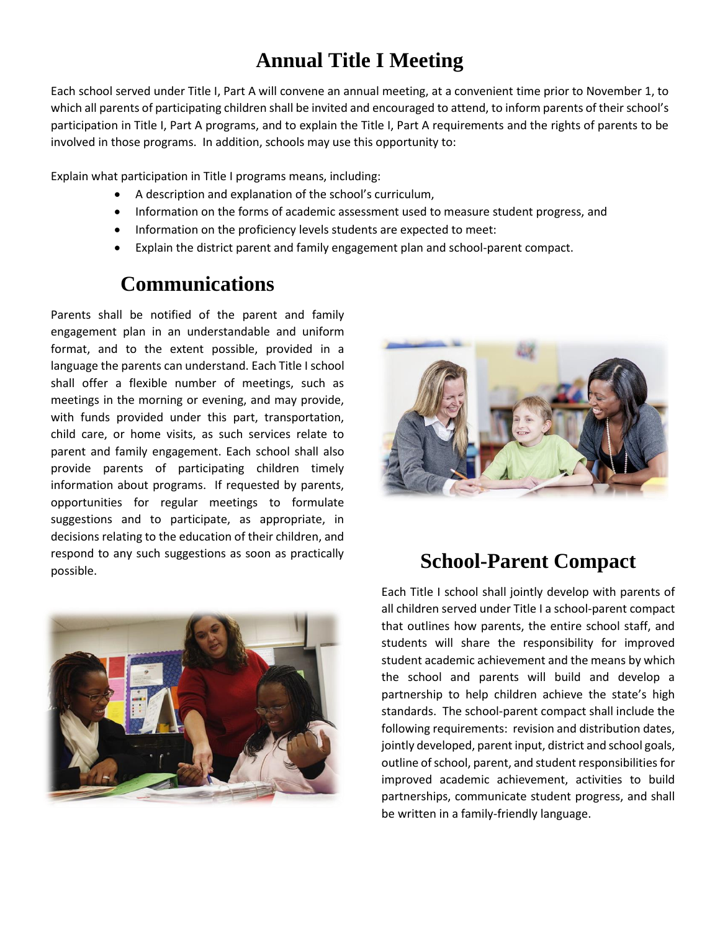# **Annual Title I Meeting**

Each school served under Title I, Part A will convene an annual meeting, at a convenient time prior to November 1, to which all parents of participating children shall be invited and encouraged to attend, to inform parents of their school's participation in Title I, Part A programs, and to explain the Title I, Part A requirements and the rights of parents to be involved in those programs. In addition, schools may use this opportunity to:

Explain what participation in Title I programs means, including:

- A description and explanation of the school's curriculum,
- Information on the forms of academic assessment used to measure student progress, and
- Information on the proficiency levels students are expected to meet:
- Explain the district parent and family engagement plan and school-parent compact.

## **Communications**

Parents shall be notified of the parent and family engagement plan in an understandable and uniform format, and to the extent possible, provided in a language the parents can understand. Each Title I school shall offer a flexible number of meetings, such as meetings in the morning or evening, and may provide, with funds provided under this part, transportation, child care, or home visits, as such services relate to parent and family engagement. Each school shall also provide parents of participating children timely information about programs. If requested by parents, opportunities for regular meetings to formulate suggestions and to participate, as appropriate, in decisions relating to the education of their children, and respond to any such suggestions as soon as practically respond to any such suggestions as soon as practically<br>possible.





Each Title I school shall jointly develop with parents of all children served under Title I a school-parent compact that outlines how parents, the entire school staff, and students will share the responsibility for improved student academic achievement and the means by which the school and parents will build and develop a partnership to help children achieve the state's high standards. The school-parent compact shall include the following requirements: revision and distribution dates, jointly developed, parent input, district and school goals, outline of school, parent, and student responsibilities for improved academic achievement, activities to build partnerships, communicate student progress, and shall be written in a family-friendly language.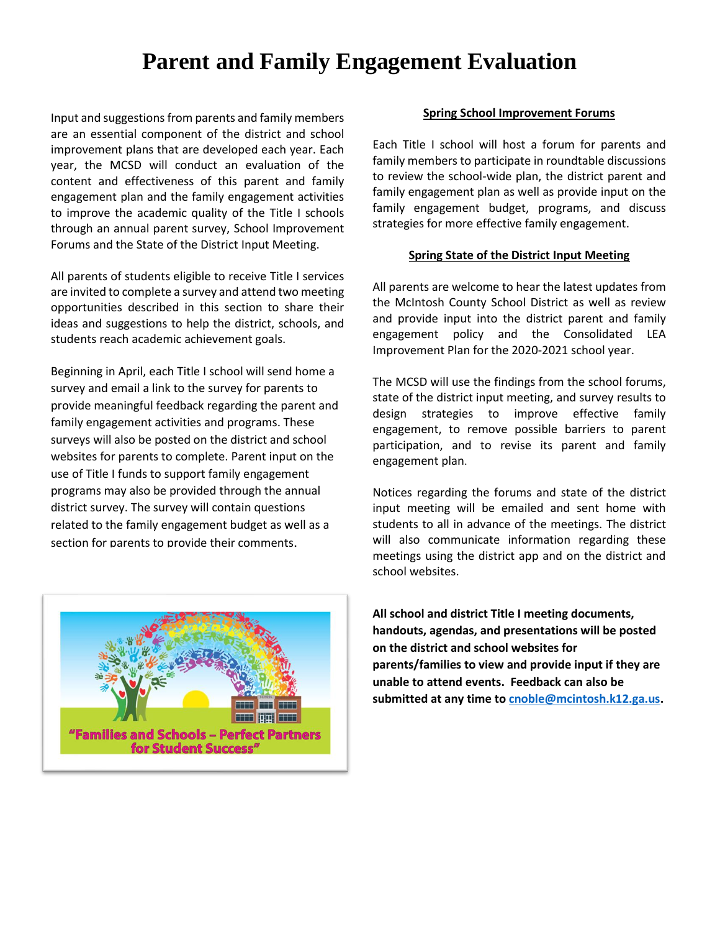# **Parent and Family Engagement Evaluation**

Input and suggestions from parents and family members are an essential component of the district and school improvement plans that are developed each year. Each year, the MCSD will conduct an evaluation of the content and effectiveness of this parent and family engagement plan and the family engagement activities to improve the academic quality of the Title I schools through an annual parent survey, School Improvement Forums and the State of the District Input Meeting.

All parents of students eligible to receive Title I services are invited to complete a survey and attend two meeting opportunities described in this section to share their ideas and suggestions to help the district, schools, and students reach academic achievement goals.

Beginning in April, each Title I school will send home a survey and email a link to the survey for parents to provide meaningful feedback regarding the parent and family engagement activities and programs. These surveys will also be posted on the district and school websites for parents to complete. Parent input on the use of Title I funds to support family engagement programs may also be provided through the annual district survey. The survey will contain questions related to the family engagement budget as well as a section for parents to provide their comments.



### **Spring School Improvement Forums**

Each Title I school will host a forum for parents and family members to participate in roundtable discussions to review the school-wide plan, the district parent and family engagement plan as well as provide input on the family engagement budget, programs, and discuss strategies for more effective family engagement.

### **Spring State of the District Input Meeting**

All parents are welcome to hear the latest updates from the McIntosh County School District as well as review and provide input into the district parent and family engagement policy and the Consolidated LEA Improvement Plan for the 2020-2021 school year.

The MCSD will use the findings from the school forums, state of the district input meeting, and survey results to design strategies to improve effective family engagement, to remove possible barriers to parent participation, and to revise its parent and family engagement plan.

Notices regarding the forums and state of the district input meeting will be emailed and sent home with students to all in advance of the meetings. The district will also communicate information regarding these meetings using the district app and on the district and school websites.

**All school and district Title I meeting documents, handouts, agendas, and presentations will be posted on the district and school websites for parents/families to view and provide input if they are unable to attend events. Feedback can also be submitted at any time to [cnoble@mcintosh.k12.ga.us.](mailto:cnoble@mcintosh.k12.ga.us)**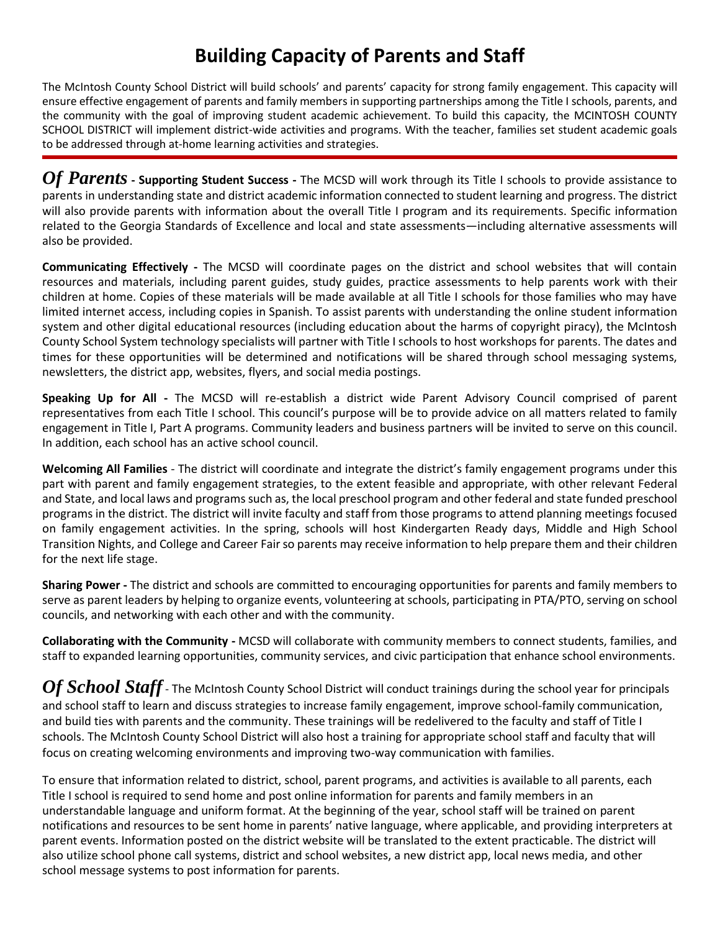# **Building Capacity of Parents and Staff**

The McIntosh County School District will build schools' and parents' capacity for strong family engagement. This capacity will ensure effective engagement of parents and family members in supporting partnerships among the Title I schools, parents, and the community with the goal of improving student academic achievement. To build this capacity, the MCINTOSH COUNTY SCHOOL DISTRICT will implement district-wide activities and programs. With the teacher, families set student academic goals to be addressed through at-home learning activities and strategies.

*Of Parents* **- Supporting Student Success -** The MCSD will work through its Title I schools to provide assistance to parents in understanding state and district academic information connected to student learning and progress. The district will also provide parents with information about the overall Title I program and its requirements. Specific information related to the Georgia Standards of Excellence and local and state assessments—including alternative assessments will also be provided.

**Communicating Effectively -** The MCSD will coordinate pages on the district and school websites that will contain resources and materials, including parent guides, study guides, practice assessments to help parents work with their children at home. Copies of these materials will be made available at all Title I schools for those families who may have limited internet access, including copies in Spanish. To assist parents with understanding the online student information system and other digital educational resources (including education about the harms of copyright piracy), the McIntosh County School System technology specialists will partner with Title I schools to host workshops for parents. The dates and times for these opportunities will be determined and notifications will be shared through school messaging systems, newsletters, the district app, websites, flyers, and social media postings.

**Speaking Up for All -** The MCSD will re-establish a district wide Parent Advisory Council comprised of parent representatives from each Title I school. This council's purpose will be to provide advice on all matters related to family engagement in Title I, Part A programs. Community leaders and business partners will be invited to serve on this council. In addition, each school has an active school council.

**Welcoming All Families** - The district will coordinate and integrate the district's family engagement programs under this part with parent and family engagement strategies, to the extent feasible and appropriate, with other relevant Federal and State, and local laws and programs such as, the local preschool program and other federal and state funded preschool programs in the district. The district will invite faculty and staff from those programs to attend planning meetings focused on family engagement activities. In the spring, schools will host Kindergarten Ready days, Middle and High School Transition Nights, and College and Career Fair so parents may receive information to help prepare them and their children for the next life stage.

**Sharing Power -** The district and schools are committed to encouraging opportunities for parents and family members to serve as parent leaders by helping to organize events, volunteering at schools, participating in PTA/PTO, serving on school councils, and networking with each other and with the community.

**Collaborating with the Community -** MCSD will collaborate with community members to connect students, families, and staff to expanded learning opportunities, community services, and civic participation that enhance school environments.

**Of School Staff** - The McIntosh County School District will conduct trainings during the school year for principals and school staff to learn and discuss strategies to increase family engagement, improve school-family communication, and build ties with parents and the community. These trainings will be redelivered to the faculty and staff of Title I schools. The McIntosh County School District will also host a training for appropriate school staff and faculty that will focus on creating welcoming environments and improving two-way communication with families.

To ensure that information related to district, school, parent programs, and activities is available to all parents, each Title I school is required to send home and post online information for parents and family members in an understandable language and uniform format. At the beginning of the year, school staff will be trained on parent notifications and resources to be sent home in parents' native language, where applicable, and providing interpreters at parent events. Information posted on the district website will be translated to the extent practicable. The district will also utilize school phone call systems, district and school websites, a new district app, local news media, and other school message systems to post information for parents.